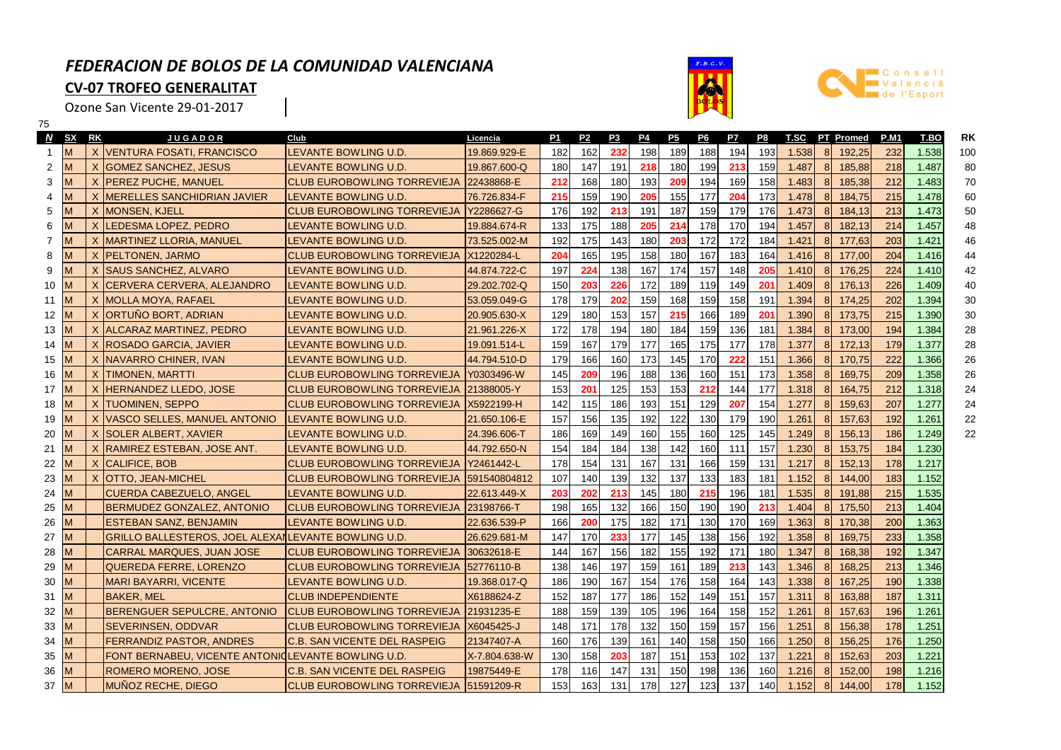## *FEDERACION DE BOLOS DE LA COMUNIDAD VALENCIANA***CV-07 TROFEO GENERALITAT**

1

Ozone San Vicente 29-01-2017





| 75             |           |    |                                                     |                                         |               |     |                |                |     |     |     |     |     |       |               |                  |             |       |     |
|----------------|-----------|----|-----------------------------------------------------|-----------------------------------------|---------------|-----|----------------|----------------|-----|-----|-----|-----|-----|-------|---------------|------------------|-------------|-------|-----|
| <b>N</b>       | <b>SX</b> | RK | <b>JUGADOR</b>                                      | Club                                    | Licencia      | P1  | P <sub>2</sub> | P <sub>3</sub> | P4  | P5  | P6  | P7  | P8  | T.SC  |               | <b>PT</b> Promed | <b>P.M1</b> | T.BO  | RK  |
| 1              | M         |    | X IVENTURA FOSATI, FRANCISCO                        | LEVANTE BOWLING U.D.                    | 19.869.929-E  | 182 | 162            | 232            | 198 | 189 | 188 | 194 | 193 | 1.538 | 8             | 192,25           | 232         | 1.538 | 100 |
| $\overline{2}$ |           | X  | <b>GOMEZ SANCHEZ, JESUS</b>                         | LEVANTE BOWLING U.D.                    | 19.867.600-Q  | 180 | 147            | 191            | 218 | 180 | 199 | 213 | 159 | 1.487 | 8             | 185,88           | 218         | 1.487 | 80  |
| 3              |           |    | X IPEREZ PUCHE, MANUEL                              | <b>CLUB EUROBOWLING TORREVIEJA</b>      | 22438868-E    | 212 | 168            | 180            | 193 | 209 | 194 | 169 | 158 | 1.483 | 8             | 185,38           | 212         | 1.483 | 70  |
| 4              |           |    | X IMERELLES SANCHIDRIAN JAVIER                      | LEVANTE BOWLING U.D.                    | 76.726.834-F  | 215 | 159            | 190            | 205 | 155 | 177 | 204 | 173 | 1.478 | 8             | 184,75           | 215         | 1.478 | 60  |
| 5              |           |    | X IMONSEN, KJELL                                    | <b>CLUB EUROBOWLING TORREVIEJA</b>      | Y2286627-G    | 176 | 192            | 213            | 191 | 187 | 159 | 179 | 176 | 1.473 | 8             | 184.13           | 213         | 1.473 | 50  |
| 6              |           | X  | LEDESMA LOPEZ, PEDRO                                | LEVANTE BOWLING U.D.                    | 19.884.674-R  | 133 | 175            | 188            | 205 | 214 | 178 | 170 | 194 | 1.457 | 8             | 182,13           | 214         | 1.457 | 48  |
| 7              |           | X  | <b>IMARTINEZ LLORIA, MANUEL</b>                     | LEVANTE BOWLING U.D.                    | 73.525.002-M  | 192 | 175            | 143            | 180 | 203 | 172 | 172 | 184 | 1.421 | 8             | 177.63           | 203         | 1.421 | 46  |
| 8              |           |    | X   PELTONEN, JARMO                                 | <b>CLUB EUROBOWLING TORREVIEJA</b>      | X1220284-L    | 204 | 165            | 195            | 158 | 180 | 167 | 183 | 164 | 1.416 | 8             | 177,00           | 204         | 1.416 | 44  |
| 9              |           |    | X ISAUS SANCHEZ, ALVARO                             | LEVANTE BOWLING U.D.                    | 44.874.722-C  | 197 | 224            | 138            | 167 | 174 | 157 | 148 | 205 | 1.410 | $\mathbf{8}$  | 176.25           | 224         | 1.410 | 42  |
| 10             |           |    | X CERVERA CERVERA, ALEJANDRO                        | LEVANTE BOWLING U.D.                    | 29.202.702-Q  | 150 | 203            | 226            | 172 | 189 | 119 | 149 | 201 | 1.409 | 8             | 176,13           | 226         | 1.409 | 40  |
| 11             |           |    | X   MOLLA MOYA, RAFAEL                              | LEVANTE BOWLING U.D.                    | 53.059.049-G  | 178 | 179            | 202            | 159 | 168 | 159 | 158 | 191 | 1.394 | 8             | 174,25           | 202         | 1.394 | 30  |
| 12             | M         |    | X ORTUNO BORT, ADRIAN                               | LEVANTE BOWLING U.D.                    | 20.905.630-X  | 129 | 180            | 153            | 157 | 215 | 166 | 189 | 201 | 1.390 | 8             | 173,75           | 215         | 1.390 | 30  |
| 13             | м         |    | X ALCARAZ MARTINEZ, PEDRO                           | LEVANTE BOWLING U.D.                    | 21.961.226-X  | 172 | 178            | 194            | 180 | 184 | 159 | 136 | 181 | 1.384 | 8             | 173,00           | 194         | 1.384 | 28  |
| 14             | M         |    | X ROSADO GARCIA, JAVIER                             | LEVANTE BOWLING U.D.                    | 19.091.514-L  | 159 | 167            | 179            | 177 | 165 | 175 | 177 | 178 | 1.377 | $\mathcal{B}$ | 172,13           | 179         | 1.377 | 28  |
| 15             | M         |    | X INAVARRO CHINER, IVAN                             | LEVANTE BOWLING U.D.                    | 44.794.510-D  | 179 | 166            | 160            | 173 | 145 | 170 | 222 | 151 | 1.366 | 8             | 170,75           | 222         | 1.366 | 26  |
| 16             | м         |    | X ITIMONEN, MARTTI                                  | <b>CLUB EUROBOWLING TORREVIEJA</b>      | Y0303496-W    | 145 | 209            | 196            | 188 | 136 | 160 | 151 | 173 | 1.358 | 8             | 169.75           | 209         | 1.358 | 26  |
| 17             |           |    | X HERNANDEZ LLEDO, JOSE                             | <b>CLUB EUROBOWLING TORREVIEJA</b>      | 21388005-Y    | 153 | 201            | 125            | 153 | 153 | 212 | 144 | 177 | 1.318 | 8             | 164,75           | 212         | 1.318 | 24  |
| 18             |           |    | X ITUOMINEN, SEPPO                                  | <b>CLUB EUROBOWLING TORREVIEJA</b>      | X5922199-H    | 142 | 115            | 186            | 193 | 151 | 129 | 207 | 154 | 1.277 | 8             | 159,63           | 207         | 1.277 | 24  |
| 19             |           |    | X VASCO SELLES, MANUEL ANTONIO                      | LEVANTE BOWLING U.D.                    | 21.650.106-E  | 157 | 156            | 135            | 192 | 122 | 130 | 179 | 190 | 1.261 | 8             | 157,63           | 192         | 1.261 | 22  |
| 20             |           | X  | <b>SOLER ALBERT, XAVIER</b>                         | LEVANTE BOWLING U.D.                    | 24.396.606-T  | 186 | 169            | 149            | 160 | 155 | 160 | 125 | 145 | 1.249 | 8             | 156,13           | 186         | 1.249 | 22  |
| 21             |           | X  | RAMIREZ ESTEBAN, JOSE ANT.                          | LEVANTE BOWLING U.D.                    | 44.792.650-N  | 154 | 184            | 184            | 138 | 142 | 160 | 111 | 157 | 1.230 | 8             | 153,75           | 184         | 1.230 |     |
| 22             | M         |    | X CALIFICE, BOB                                     | <b>CLUB EUROBOWLING TORREVIEJA</b>      | Y2461442-L    | 178 | 154            | 131            | 167 | 131 | 166 | 159 | 131 | 1.217 | 8             | 152,13           | 178         | 1.217 |     |
| 23             | M         |    | X <b>IOTTO, JEAN-MICHEL</b>                         | <b>CLUB EUROBOWLING TORREVIEJA</b>      | 591540804812  | 107 | 140            | 139            | 132 | 137 | 133 | 183 | 181 | 1.152 | 8             | 144.00           | 183         | 1.152 |     |
| 24             | м         |    | CUERDA CABEZUELO, ANGEL                             | LEVANTE BOWLING U.D.                    | 22.613.449-X  | 203 | 202            | 213            | 145 | 180 | 215 | 196 | 181 | 1.535 | 8             | 191,88           | 215         | 1.535 |     |
| 25             | M         |    | <b>IBERMUDEZ GONZALEZ, ANTONIO</b>                  | <b>CLUB EUROBOWLING TORREVIEJA</b>      | 23198766-T    | 198 | 165            | 132            | 166 | 150 | 190 | 190 | 213 | 1.404 | 8             | 175,50           | 213         | 1.404 |     |
| 26             | м         |    | <b>IESTEBAN SANZ, BENJAMIN</b>                      | LEVANTE BOWLING U.D.                    | 22.636.539-P  | 166 | 200            | 175            | 182 | 171 | 130 | 170 | 169 | 1.363 | 8             | 170,38           | 200         | 1.363 |     |
| 27             | M         |    | GRILLO BALLESTEROS, JOEL ALEXANLEVANTE BOWLING U.D. |                                         | 26.629.681-M  | 147 | 170            | 233            | 177 | 145 | 138 | 156 | 192 | 1.358 | 8             | 169,75           | 233         | 1.358 |     |
| 28             | м         |    | CARRAL MARQUES, JUAN JOSE                           | <b>CLUB EUROBOWLING TORREVIEJA</b>      | 30632618-E    | 144 | 167            | 156            | 182 | 155 | 192 | 171 | 180 | 1.347 | 8             | 168,38           | 192         | 1.347 |     |
| 29             |           |    | lQUEREDA FERRE. LORENZO                             | <b>CLUB EUROBOWLING TORREVIEJA</b>      | 52776110-B    | 138 | 146            | 197            | 159 | 161 | 189 | 213 | 143 | 1.346 | 8             | 168,25           | 213         | 1.346 |     |
| 30             | м         |    | <b>MARI BAYARRI, VICENTE</b>                        | LEVANTE BOWLING U.D.                    | 19.368.017-Q  | 186 | 190            | 167            | 154 | 176 | 158 | 164 | 143 | 1.338 | 8             | 167.25           | 190         | 1.338 |     |
| 31             |           |    | IBAKER. MEL                                         | <b>CLUB INDEPENDIENTE</b>               | X6188624-Z    | 152 | 187            | 177            | 186 | 152 | 149 | 151 | 157 | 1.311 | 8             | 163,88           | 187         | 1.311 |     |
| 32             |           |    | <b>IBERENGUER SEPULCRE, ANTONIO</b>                 | ICLUB EUROBOWLING TORREVIEJA            | 21931235-E    | 188 | 159            | 139            | 105 | 196 | 164 | 158 | 152 | 1.261 | 8             | 157,63           | 196         | 1.261 |     |
| 33             |           |    | <b>SEVERINSEN, ODDVAR</b>                           | <b>CLUB EUROBOWLING TORREVIEJA</b>      | X6045425-J    | 148 | 171            | 178            | 132 | 150 | 159 | 157 | 156 | 1.251 | 8             | 156,38           | 178         | 1.251 |     |
| 34             |           |    | FERRANDIZ PASTOR. ANDRES                            | IC.B. SAN VICENTE DEL RASPEIG           | 21347407-A    | 160 | 176            | 139            | 161 | 140 | 158 | 150 | 166 | 1.250 | 8             | 156,25           | 176         | 1.250 |     |
| 35             | M         |    | FONT BERNABEU, VICENTE ANTONI(LEVANTE BOWLING U.D.  |                                         | X-7.804.638-W | 130 | 158            | 203            | 187 | 151 | 153 | 102 | 137 | 1.221 | 8             | 152,63           | 203         | 1.221 |     |
| 36             |           |    | ROMERO MORENO, JOSE                                 | <b>C.B. SAN VICENTE DEL RASPEIG</b>     | 19875449-E    | 178 | 116            | 147            | 131 | 150 | 198 | 136 | 160 | 1.216 | 8             | 152,00           | 198         | 1.216 |     |
| 37             | M         |    | MUÑOZ RECHE. DIEGO                                  | CLUB EUROBOWLING TORREVIEJA 151591209-R |               | 153 | 163            | 131            | 178 | 127 | 123 | 137 | 140 | 1.152 | $\mathbf{8}$  | 144.00           | 178         | 1.152 |     |